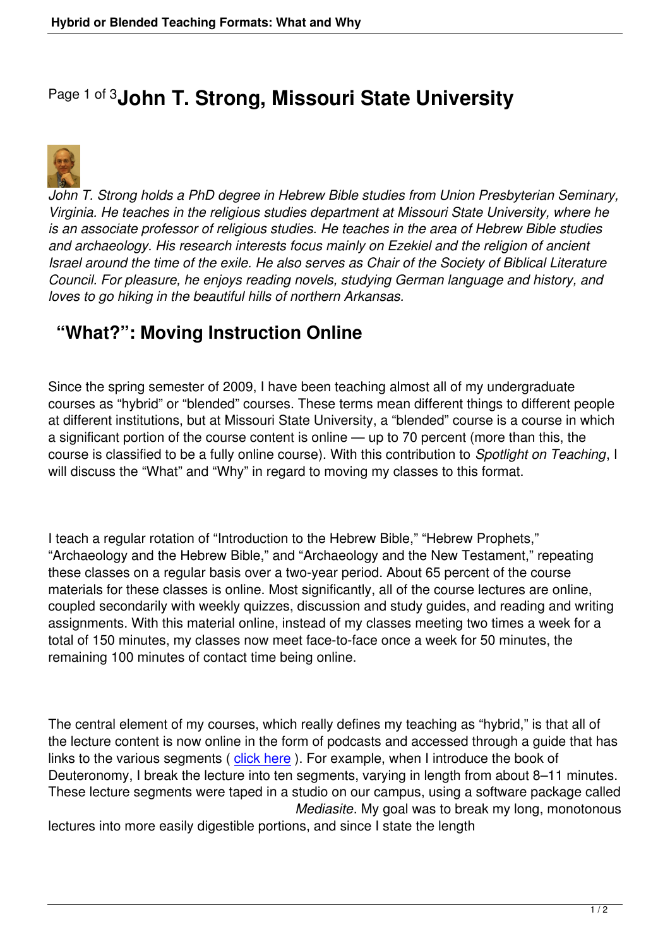## Page 1 of 3**John T. Strong, Missouri State University**



*John T. Strong holds a PhD degree in Hebrew Bible studies from Union Presbyterian Seminary, Virginia. He teaches in the religious studies department at Missouri State University, where he is an associate professor of religious studies. He teaches in the area of Hebrew Bible studies and archaeology. His research interests focus mainly on Ezekiel and the religion of ancient Israel around the time of the exile. He also serves as Chair of the Society of Biblical Literature Council. For pleasure, he enjoys reading novels, studying German language and history, and loves to go hiking in the beautiful hills of northern Arkansas.*

## **"What?": Moving Instruction Online**

Since the spring semester of 2009, I have been teaching almost all of my undergraduate courses as "hybrid" or "blended" courses. These terms mean different things to different people at different institutions, but at Missouri State University, a "blended" course is a course in which a significant portion of the course content is online — up to 70 percent (more than this, the course is classified to be a fully online course). With this contribution to *Spotlight on Teaching*, I will discuss the "What" and "Why" in regard to moving my classes to this format.

I teach a regular rotation of "Introduction to the Hebrew Bible," "Hebrew Prophets," "Archaeology and the Hebrew Bible," and "Archaeology and the New Testament," repeating these classes on a regular basis over a two-year period. About 65 percent of the course materials for these classes is online. Most significantly, all of the course lectures are online, coupled secondarily with weekly quizzes, discussion and study guides, and reading and writing assignments. With this material online, instead of my classes meeting two times a week for a total of 150 minutes, my classes now meet face-to-face once a week for 50 minutes, the remaining 100 minutes of contact time being online.

The central element of my courses, which really defines my teaching as "hybrid," is that all of the lecture content is now online in the form of podcasts and accessed through a guide that has links to the various segments (click here). For example, when I introduce the book of Deuteronomy, I break the lecture into ten segments, varying in length from about 8–11 minutes. These lecture segments were taped in a studio on our campus, using a software package called *Mediasite*. My goal was to break my long, monotonous

lectures into more easily digest[ible portio](images/pdfs/spotlight strong appendix i.pdf)ns, and since I state the length